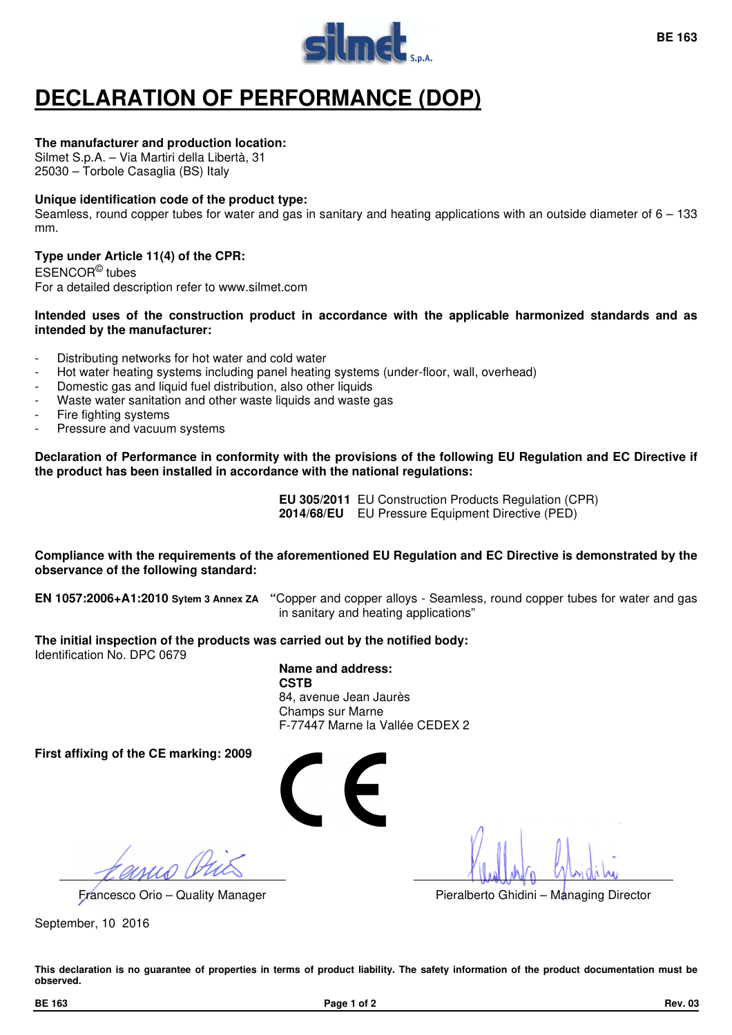

# **DECLARATION OF PERFORMANCE (DOP)**

## **The manufacturer and production location:**

Silmet S.p.A. – Via Martiri della Libertà, 31 25030 – Torbole Casaglia (BS) Italy

## **Unique identification code of the product type:**

Seamless, round copper tubes for water and gas in sanitary and heating applications with an outside diameter of  $6 - 133$ mm.

# **Type under Article 11(4) of the CPR:**

ESENCOR© tubes For a detailed description refer to www.silmet.com

### **Intended uses of the construction product in accordance with the applicable harmonized standards and as intended by the manufacturer:**

- Distributing networks for hot water and cold water
- Hot water heating systems including panel heating systems (under-floor, wall, overhead)
- Domestic gas and liquid fuel distribution, also other liquids
- Waste water sanitation and other waste liquids and waste gas
- Fire fighting systems
- Pressure and vacuum systems

**Declaration of Performance in conformity with the provisions of the following EU Regulation and EC Directive if the product has been installed in accordance with the national regulations:** 

> **EU 305/2011** EU Construction Products Regulation (CPR) **2014/68/EU** EU Pressure Equipment Directive (PED)

### **Compliance with the requirements of the aforementioned EU Regulation and EC Directive is demonstrated by the observance of the following standard:**

**EN 1057:2006+A1:2010 Sytem 3 Annex ZA "**Copper and copper alloys - Seamless, round copper tubes for water and gas in sanitary and heating applications"

**The initial inspection of the products was carried out by the notified body:**  Identification No. DPC 0679

> **Name and address: CSTB**  84, avenue Jean Jaurès Champs sur Marne F-77447 Marne la Vallée CEDEX 2

**First affixing of the CE marking: 2009** 



Francesco Orio – Quality Manager Pieralberto Ghidini – Managing Director

September, 10 2016

**This declaration is no guarantee of properties in terms of product liability. The safety information of the product documentation must be observed.**